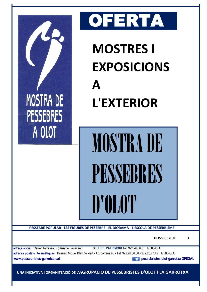

 **UNA INICIATIVA I ORGANITZACIÓ DE L'AGRUPACIÓ DE PESSEBRISTES D'OLOT I LA GARROTXA**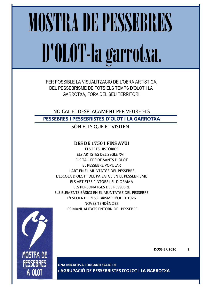# MOSTRA DE PESSEBRES D'OLOT-la garrotxa.

FER POSSIBLE LA VISUALITZACIO DE L'OBRA ARTISTICA, DEL PESSEBRISME DE TOTS ELS TEMPS D'OLOT I LA GARROTXA, FORA DEL SEU TERRITORI.

NO CAL EL DESPLAÇAMENT PER VEURE ELS **PESSEBRES I PESSEBRISTES D'OLOT I LA GARROTXA**

SÓN ELLS QUE ET VISITEN.

## **DES DE 1750 I FINS AVUI**

ELS FETS HISTÒRICS ELS ARTISTES DEL SEGLE XVIII ELS TALLERS DE SANTS D'OLOT EL PESSEBRE POPULAR L'ART EN EL MUNTATGE DEL PESSEBRE L'ESCOLA D'OLOT I DEL PAISATGE EN EL PESSEBRISME ELS ARTISTES PINTORS I EL DIORAMA ELS PERSONATGES DEL PESSEBRE ELS ELEMENTS BÀSICS EN EL MUNTATGE DEL PESSEBRE L'ESCOLA DE PESSEBRISME D'OLOT 1926 NOVES TENDÈNCIES LES MANUALITATS ENTORN DEL PESSEBRE



**UNA INICIATIVA I ORGANITZACIÓ DE L'AGRUPACIÓ DE PESSEBRISTES D'OLOT I LA GARROTXA**

**DOSSIER 2020 2**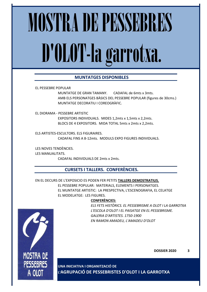# MOSTRA DE PESSEBRES D'OLOT-la garrotxa.

## **MUNTATGES DISPONIBLES**

EL PESSEBRE POPULAR

MUNTATGE DE GRAN TAMANY. CADAFAL de 6mts x 3mts. AMB ELS PERSONATGES BÀSICS DEL PESSEBRE POPULAR (figures de 30cms.) MUNTATGE DECORATIU I COREOGRÀFIC.

EL DIORAMA - PESSEBRE ARTISTIC EXPOSITORS INDIVIDUALS. MIDES 1,2mts x 1,5mts x 2,2mts. BLOCS DE 4 EXPOSITORS. MIDA TOTAL 5mts x 2mts x 2,2mts.

ELS ARTISTES-ESCULTORS. ELS FIGURAIRES. CADAFAL FINS A 8-12mts. MODULS EXPO FIGURES INDIVIDUALS.

LES NOVES TENDÈNCIES. LES MANUALITATS.

CADAFAL INDIVIDUALS DE 2mts x 2mts.

## **CURSETS I TALLERS. CONFERÈNCIES.**

EN EL DECURS DE L'EXPOSICIO ES PODEN FER PETITS **TALLERS DEMOSTRATIUS.** EL PESSEBRE POPULAR: MATERIALS, ELEMENTS I PERSONATGES. EL MUNTATGE ARTISTIC: LA PRESPECTIVA, L'ESCENOGRAFIA, EL CELATGE EL MODELATGE: LES FIGURES.

### **CONFERÈNCIES:**

*ELS FETS HISTÒRICS. EL PESSEBRISME A OLOT I LA GARROTXA L'ESCOLA D'OLOT I EL PAISATGE EN EL PESSEBRISME. GALERIA D'ARTISTES. 1750-1900 EN RAMON AMADEU, L'AMADEU D'OLOT*



**UNA INICIATIVA I ORGANITZACIÓ DE L'AGRUPACIÓ DE PESSEBRISTES D'OLOT I LA GARROTXA**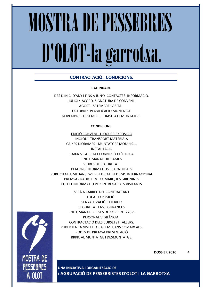# MOSTRA DE PESSEBRES D'OLOT-la garrotxa.

## **CONTRACTACIÓ. CONDICIONS.**

### **CALENDARI.**

DES D'INICI D'ANY I FINS A JUNY: CONTACTES. INFORMACIÓ. JULIOL: ACORD. SIGNATURA DE CONVENI. AGOST - SETEMBRE: VISITA OCTUBRE: PLANIFICACIO MUNTATGE NOVEMBRE - DESEMBRE: TRASLLAT I MUNTATGE.

### **CONDICIONS:**

EDICIÓ CONVENI - LLOGUER EXPOSICIÓ INCLOU: TRANSPORT MATERIALS CAIXES DIORAMES - MUNTATGES MODULS.... INSTAL·LACIÓ CAIXA SEGURETAT CONNEXIÓ ELÈCTRICA ENLLUMANAT DIORAMES VIDRES DE SEGURETAT PLAFONS INFORMATIUS I CARATUL·LES PUBLICITAT A MITJANS: WEB. FED.CAT. FED.ESP. INTERNACIONAL PREMSA - RADIO I TV. COMARQUES GIRONINES FULLET INFORMATIU PER ENTREGAR ALS VISITANTS

### SERÀ A CÀRREC DEL CONTRACTANT

LOCAL EXPOSICIÓ SENYALITZACIÓ EXTERIOR SEGURETAT I ASSEGURANÇES ENLLUMANAT. PRESES DE CORRENT 220V. PERSONAL VIGILÀNCIA. CONTRACTACIÓ DELS CURSETS I TALLERS. PUBLICITAT A NIVELL LOCAL I MITJANS COMARCALS. RODES DE PREMSA PRESENTACIÓ RRPP. AL MUNTATGE I DESMUNTATGE.



**DOSSIER 2020 4**

**UNA INICIATIVA I ORGANITZACIÓ DE L'AGRUPACIÓ DE PESSEBRISTES D'OLOT I LA GARROTXA**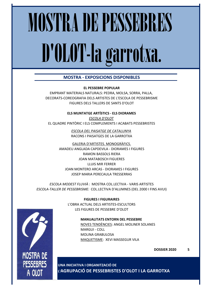## MOSTRA DE PESSEBRES D'OLOT-la garrotxa.

## **MOSTRA - EXPOSICIONS DISPONIBLES**

**EL PESSEBRE POPULAR**

EMPRANT MATERIALS NATURALS: PEDRA, MOLSA, SORRA, PALLA, DECORATS-COREOGRAFIA DELS ARTISTES DE L'ESCOLA DE PESSEBRISME FIGURES DELS TALLERS DE SANTS D'OLOT

**ELS MUNTATGE ARTÍSTICS - ELS DIORAMES**

*ESCOLA D'OLOT* EL QUADRE PINTÒRIC I ELS COMPLEMENTS I ACABATS PESSEBRISTES

> *ESCOLA DEL PAISATGE DE CATALUNYA* RACONS I PAISATGES DE LA GARROTXA

GALERIA D'ARTISTES. MONOGRÀFICS. AMADEU ANGLADA CAPDEVILA - DIORAMES I FIGURES RAMON BASSOLS RIERA JOAN MATABOSCH FIGUERES LLUIS MIR FERRER JOAN MONTERO ARCAS - DIORAMES I FIGURES JOSEP MARIA PERECAULA TRESSERRAS

*ESCOLA MODEST FLUVIÀ* : MOSTRA COL.LECTIVA - VARIS ARTISTES *ESCOLA-TALLER DE PESSEBRISME:* COL.LECTIVA D'ALUMNES (DEL 2000 I FINS AVUI)

> **FIGURES I FIGURAIRES** L'OBRA ACTUAL DELS ARTISTES-ESCULTORS LES FIGURES DE PESSEBRE D'OLOT

### **MANUALITATS ENTORN DEL PESSEBRE**

NOVES TENDÈNCIES: ANGEL MOLINER SOLANES MARGUI - COLL MOLINA GRABULOSA MAQUETISME: XEVI MASSEGUR VILA

MOSTRA DE **PESSEBRES** A 0101

**UNA INICIATIVA I ORGANITZACIÓ DE L'AGRUPACIÓ DE PESSEBRISTES D'OLOT I LA GARROTXA**

**DOSSIER 2020 5**